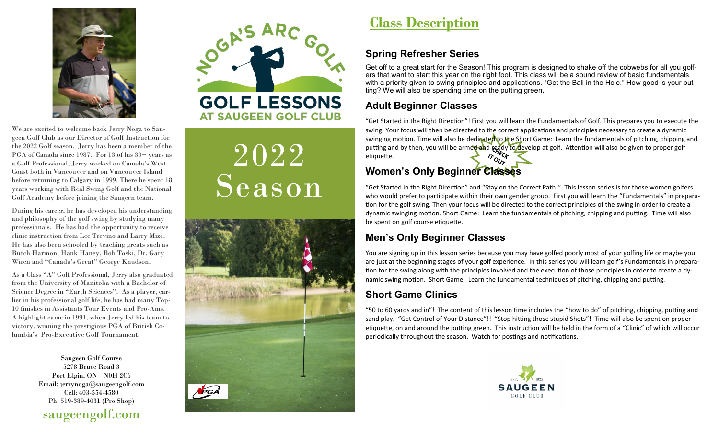

We are excited to welcome back Jerry Noga to Saugeen Golf Club as our Director of Golf Instruction for the 2022 Golf season. Jerry has been a member of the PGA of Canada since 1987. For 13 of his 30+ years as a Golf Professional, Jerry worked on Canada's West Coast both in Vancouver and on Vancouver Island before returning to Calgary in 1999. There he spent 18 years working with Real Swing Golf and the National Golf Academy before joining the Saugeen team.

During his career, he has developed his understanding and philosophy of the golf swing by studying many professionals. He has had the opportunity to receive clinic instruction from Lee Trevino and Larry Mize. He has also been schooled by teaching greats such as Butch Harmon, Hank Haney, Bob Toski, Dr. Gary Wiren and "Canada's Great" George Knudson.

As a Class "A" Golf Professional, Jerry also graduated from the University of Manitoba with a Bachelor of Science Degree in "Earth Sciences". As a player, earlier in his professional golf life, he has had many Top-10 finishes in Assistants Tour Events and Pro-Ams. A highlight came in 1991, when Jerry led his team to victory, winning the prestigious PGA of British Columbia's Pro-Executive Golf Tournament.

> Saugeen Golf Course 5278 Bruce Road 3 Port Elgin, ON N0H 2C6 Email: jerrynoga@saugeengolf.com Cell: 403-554-4580 Ph: 519-389-4031 (Pro Shop) saugeengolf.com



AT SAUGEEN GOLF CLUB

# 2022 Season



# **Class Description**

## **Spring Refresher Series**

Get off to a great start for the Season! This program is designed to shake off the cobwebs for all you golfers that want to start this year on the right foot. This class will be a sound review of basic fundamentals with a priority given to swing principles and applications. "Get the Ball in the Hole." How good is your putting? We will also be spending time on the putting green.

## **Adult Beginner Classes**

"Get Started in the Right Direction"! First you will learn the Fundamentals of Golf. This prepares you to execute the swing. Your focus will then be directed to the correct applications and principles necessary to create a dynamic swinging motion. Time will also be dedicated to the Short Game: Learn the fundamentals of pitching, chipping and putting and by then, you will be armed and ready to develop at golf. Attention will also be given to proper golf<br>  $\frac{1}{2}$ etiquette.

# **Women's Only Beginner Classes**

"Get Started in the Right Direction" and "Stay on the Correct Path!" This lesson series is for those women golfers who would prefer to participate within their own gender group. First you will learn the "Fundamentals" in preparation for the golf swing. Then your focus will be directed to the correct principles of the swing in order to create a dynamic swinging motion. Short Game: Learn the fundamentals of pitching, chipping and putting. Time will also be spent on golf course etiquette.

# **Men's Only Beginner Classes**

You are signing up in this lesson series because you may have golfed poorly most of your golfing life or maybe you are just at the beginning stages of your golf experience. In this series you will learn golf's Fundamentals in preparation for the swing along with the principles involved and the execution of those principles in order to create a dynamic swing motion. Short Game: Learn the fundamental techniques of pitching, chipping and putting.

# **Short Game Clinics**

"50 to 60 yards and in"! The content of this lesson time includes the "how to do" of pitching, chipping, putting and sand play. "Get Control of Your Distance"!! "Stop hitting those stupid Shots"! Time will also be spent on proper etiquette, on and around the putting green. This instruction will be held in the form of a "Clinic" of which will occur periodically throughout the season. Watch for postings and notifications.